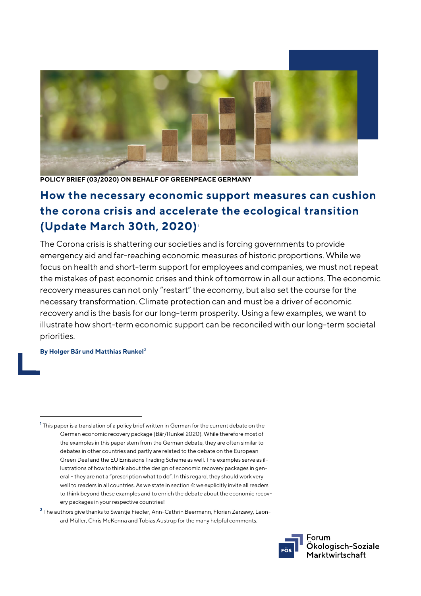

**POLICY BRIEF (03/2020) ON BEHALF OF GREENPEACE GERMANY**

# **How the necessary economic support measures can cushion the corona crisis and accelerate the ecological transition (Update March 30th, 2020)**[1](#page-0-0)

The Corona crisis is shattering our societies and is forcing governments to provide emergency aid and far-reaching economic measures of historic proportions. While we focus on health and short-term support for employees and companies, we must not repeat the mistakes of past economic crises and think of tomorrow in all our actions. The economic recovery measures can not only "restart" the economy, but also set the course for the necessary transformation. Climate protection can and must be a driver of economic recovery and is the basis for our long-term prosperity. Using a few examples, we want to illustrate how short-term economic support can be reconciled with our long-term societal priorities.

#### **By Holger Bär und Matthias Runkel**[2](#page-0-1)

j

<span id="page-0-1"></span>**<sup>2</sup>** The authors give thanks to Swantje Fiedler, Ann-Cathrin Beermann, Florian Zerzawy, Leonard Müller, Chris McKenna and Tobias Austrup for the many helpful comments.



<span id="page-0-0"></span>**<sup>1</sup>** This paper is a translation of a policy brief written in German for the current debate on the German economic recovery package (Bär/Runkel 2020). While therefore most of the examples in this paper stem from the German debate, they are often similar to debates in other countries and partly are related to the debate on the European Green Deal and the EU Emissions Trading Scheme as well. The examples serve as illustrations of how to think about the design of economic recovery packages in general – they are not a "prescription what to do". In this regard, they should work very well to readers in all countries. As we state in sectio[n 4:](#page-4-0) we explicitly invite all readers to think beyond these examples and to enrich the debate about the economic recovery packages in your respective countries!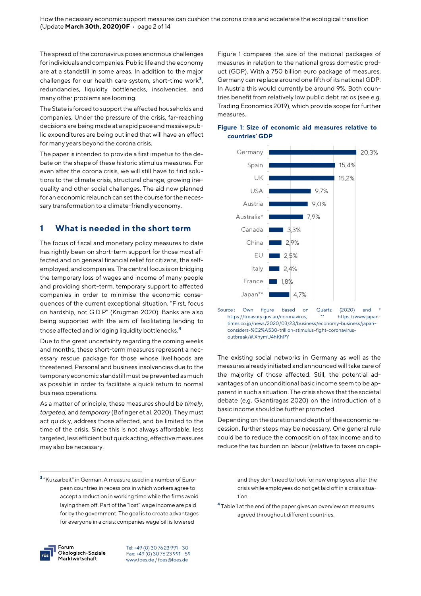The spread of the coronavirus poses enormous challenges for individuals and companies. Public life and the economy are at a standstill in some areas. In addition to the major challenges for our health care system, short-time work **[3](#page-1-0)** , redundancies, liquidity bottlenecks, insolvencies, and many other problems are looming.

The State is forced to support the affected households and companies. Under the pressure of the crisis, far-reaching decisions are being made at a rapid pace and massive public expenditures are being outlined that will have an effect for many years beyond the corona crisis.

The paper is intended to provide a first impetus to the debate on the shape of these historic stimulus measures. For even after the corona crisis, we will still have to find solutions to the climate crisis, structural change, growing inequality and other social challenges. The aid now planned for an economic relaunch can set the course for the necessary transformation to a climate-friendly economy.

#### **1 What is needed in the short term**

The focus of fiscal and monetary policy measures to date has rightly been on short-term support for those most affected and on general financial relief for citizens, the selfemployed, and companies. The central focus is on bridging the temporary loss of wages and income of many people and providing short-term, temporary support to affected companies in order to minimise the economic consequences of the current exceptional situation. "First, focus on hardship, not G.D.P" (Krugman 2020). Banks are also being supported with the aim of facilitating lending to those affected and bridging liquidity bottlenecks.**[4](#page-1-1)**

Due to the great uncertainty regarding the coming weeks and months, these short-term measures represent a necessary rescue package for those whose livelihoods are threatened. Personal and business insolvencies due to the temporary economic standstill must be prevented as much as possible in order to facilitate a quick return to normal business operations.

As a matter of principle, these measures should be *timely*, *targeted,* and *temporary* (Bofinger et al. 2020). They must act quickly, address those affected, and be limited to the time of the crisis. Since this is not always affordable, less targeted, less efficient but quick acting, effective measures may also be necessary.

Figure 1 compares the size of the national packages of measures in relation to the national gross domestic product (GDP). With a 750 billion euro package of measures, Germany can replace around one fifth of its national GDP. In Austria this would currently be around 9%. Both countries benefit from relatively low public debt ratios (see e.g. Trading Economics 2019), which provide scope for further measures.



#### **Figure 1: Size of economic aid measures relative to countries' GDP**

Source : Own figure based on Quartz (2020) and \* https://treasury.gov.au/coronavirus, \*\* https://www.japantimes.co.jp/news/2020/03/23/business/economy-business/japanconsiders-%C2%A530-trillion-stimulus-fight-coronavirusoutbreak/#.XnymU4hKhPY

The existing social networks in Germany as well as the measures already initiated and announced will take care of the majority of those affected. Still, the potential advantages of an unconditional basic income seem to be apparent in such a situation. The crisis shows that the societal debate (e.g. Gkantiragas 2020) on the introduction of a basic income should be further promoted.

Depending on the duration and depth of the economic recession, further steps may be necessary. One general rule could be to reduce the composition of tax income and to reduce the tax burden on labour (relative to taxes on capi-

> and they don't need to look for new employees after the crisis while employees do not get laid off in a crisis situation.

**<sup>4</sup>** Table 1 at the end of the paper gives an overview on measures agreed throughout different countries.



j

<span id="page-1-1"></span><span id="page-1-0"></span>**<sup>3</sup>** "Kurzarbeit" in German. A measure used in a number of European countries in recessions in which workers agree to accept a reduction in working time while the firms avoid laying them off. Part of the "lost" wage income are paid for by the government. The goal is to create advantages for everyone in a crisis: companies wage bill is lowered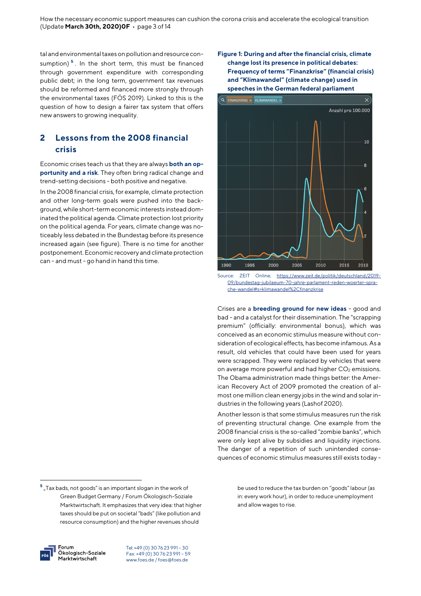tal and environmental taxes on pollution and resource con-sumption)<sup>[5](#page-2-0)</sup>. In the short term, this must be financed through government expenditure with corresponding public debt; in the long term, government tax revenues should be reformed and financed more strongly through the environmental taxes (FÖS 2019). Linked to this is the question of how to design a fairer tax system that offers new answers to growing inequality.

# **2 Lessons from the 2008 financial crisis**

Economic crises teach us that they are always **both an opportunity and a risk**. They often bring radical change and trend-setting decisions - both positive and negative.

In the 2008 financial crisis, for example, climate protection and other long-term goals were pushed into the background, while short-term economic interests instead dominated the political agenda. Climate protection lost priority on the political agenda. For years, climate change was noticeably less debated in the Bundestag before its presence increased again (see figure). There is no time for another postponement. Economic recovery and climate protection can - and must - go hand in hand this time.

Forum Ökologisch-Soziale Marktwirtschaft

j

Tel: +49 (0) 30 76 23 991 – 30 Fax: +49 (0) 30 76 23 991 – 59 [www.foes.de /](http://www.foes.de/) [foes@foes.de](mailto:foes@foes.de)





Source: ZEIT Online, [https://www.zeit.de/politik/deutschland/2019-](https://www.zeit.de/politik/deutschland/2019-09/bundestag-jubilaeum-70-jahre-parlament-reden-woerter-sprache-wandel#s=klimawandel%2Cfinanzkrise) [09/bundestag-jubilaeum-70-jahre-parlament-reden-woerter-spra](https://www.zeit.de/politik/deutschland/2019-09/bundestag-jubilaeum-70-jahre-parlament-reden-woerter-sprache-wandel#s=klimawandel%2Cfinanzkrise)[che-wandel#s=klimawandel%2Cfinanzkrise](https://www.zeit.de/politik/deutschland/2019-09/bundestag-jubilaeum-70-jahre-parlament-reden-woerter-sprache-wandel#s=klimawandel%2Cfinanzkrise)

Crises are a **breeding ground for new ideas** - good and bad - and a catalyst for their dissemination. The "scrapping premium" (officially: environmental bonus), which was conceived as an economic stimulus measure without consideration of ecological effects, has become infamous. As a result, old vehicles that could have been used for years were scrapped. They were replaced by vehicles that were on average more powerful and had higher CO<sub>2</sub> emissions. The Obama administration made things better: the American Recovery Act of 2009 promoted the creation of almost one million clean energy jobs in the wind and solar industries in the following years (Lashof 2020).

Another lesson is that some stimulus measures run the risk of preventing structural change. One example from the 2008 financial crisis is the so-called "zombie banks", which were only kept alive by subsidies and liquidity injections. The danger of a repetition of such unintended consequences of economic stimulus measures still exists today -

> be used to reduce the tax burden on "goods" labour (as in: every work hour), in order to reduce unemployment and allow wages to rise.

<span id="page-2-0"></span> $^5$  "Tax bads, not goods" is an important slogan in the work of Green Budget Germany / Forum Ökologisch-Soziale Marktwirtschaft. It emphasizes that very idea: that higher taxes should be put on societal "bads" (like pollution and resource consumption) and the higher revenues should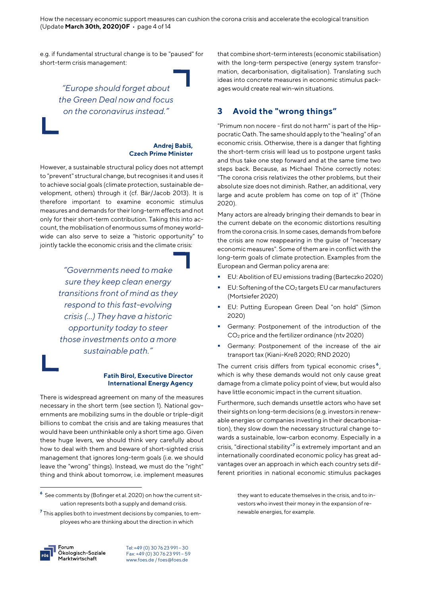How the necessary economic support measures can cushion the corona crisis and accelerate the ecological transition (Update **March 30th, 2020)0F** • page 4 of 14

e.g. if fundamental structural change is to be "paused" for short-term crisis management:

> *"Europe should forget about the Green Deal now and focus on the coronavirus instead."*

#### **Andrej Babiš, Czech Prime Minister**

However, a sustainable structural policy does not attempt to "prevent" structural change, but recognises it and uses it to achieve social goals (climate protection, sustainable development, others) through it (cf. Bär/Jacob 2013). It is therefore important to examine economic stimulus measures and demands for their long-term effects and not only for their short-term contribution. Taking this into account, the mobilisation of enormous sums of money worldwide can also serve to seize a "historic opportunity" to jointly tackle the economic crisis and the climate crisis:

> *"Governments need to make sure they keep clean energy transitions front of mind as they respond to this fast-evolving crisis (...) They have a historic opportunity today to steer those investments onto a more sustainable path."*

#### **Fatih Birol, Executive Director International Energy Agency**

There is widespread agreement on many of the measures necessary in the short term (see section 1). National governments are mobilizing sums in the double or triple-digit billions to combat the crisis and are taking measures that would have been unthinkable only a short time ago. Given these huge levers, we should think very carefully about how to deal with them and beware of short-sighted crisis management that ignores long-term goals (i.e. we should leave the "wrong" things). Instead, we must do the "right" thing and think about tomorrow, i.e. implement measures

Forum Ökologisch-Soziale Marktwirtschaft

j

Tel: +49 (0) 30 76 23 991 – 30 Fax: +49 (0) 30 76 23 991 – 59 [www.foes.de /](http://www.foes.de/) [foes@foes.de](mailto:foes@foes.de)

that combine short-term interests (economic stabilisation) with the long-term perspective (energy system transformation, decarbonisation, digitalisation). Translating such ideas into concrete measures in economic stimulus packages would create real win-win situations.

#### **3 Avoid the "wrong things"**

"Primum non nocere - first do not harm" is part of the Hippocratic Oath. The same should apply to the "healing" of an economic crisis. Otherwise, there is a danger that fighting the short-term crisis will lead us to postpone urgent tasks and thus take one step forward and at the same time two steps back. Because, as Michael Thöne correctly notes: "The corona crisis relativizes the other problems, but their absolute size does not diminish. Rather, an additional, very large and acute problem has come on top of it" (Thöne 2020).

Many actors are already bringing their demands to bear in the current debate on the economic distortions resulting from the corona crisis. In some cases, demands from before the crisis are now reappearing in the guise of "necessary economic measures". Some of them are in conflict with the long-term goals of climate protection. Examples from the European and German policy arena are:

- EU: Abolition of EU emissions trading (Barteczko 2020)
- EU: Softening of the CO2 targets EU car manufacturers (Mortsiefer 2020)
- EU: Putting European Green Deal "on hold" (Simon 2020)
- Germany: Postponement of the introduction of the CO2 price and the fertilizer ordinance (ntv 2020)
- Germany: Postponement of the increase of the air transport tax (Kiani-Kreß 2020; RND 2020)

The current crisis differs from typical economic crises **[6](#page-3-0)** , which is why these demands would not only cause great damage from a climate policy point of view, but would also have little economic impact in the current situation.

Furthermore, such demands unsettle actors who have set their sights on long-term decisions (e.g. investors in renewable energies or companies investing in their decarbonisation), they slow down the necessary structural change towards a sustainable, low-carbon economy. Especially in a crisis, "directional stability"**[7](#page-3-1)** is extremely important and an internationally coordinated economic policy has great advantages over an approach in which each country sets different priorities in national economic stimulus packages

> they want to educate themselves in the crisis, and to investors who invest their money in the expansion of renewable energies, for example.

<span id="page-3-0"></span>**<sup>6</sup>** See comments by (Bofinger et al. 2020) on how the current situation represents both a supply and demand crisis.

<span id="page-3-1"></span>**<sup>7</sup>** This applies both to investment decisions by companies, to employees who are thinking about the direction in which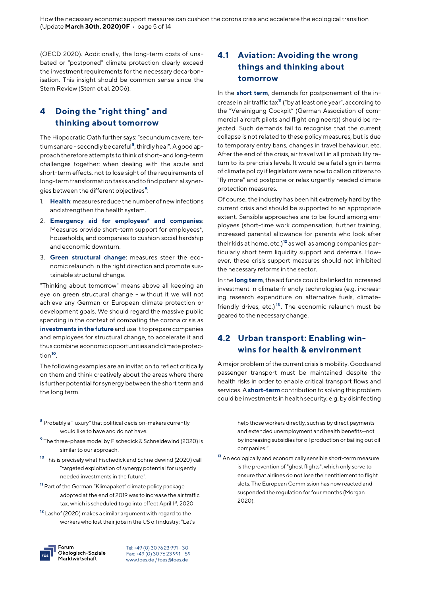(OECD 2020). Additionally, the long-term costs of unabated or "postponed" climate protection clearly exceed the investment requirements for the necessary decarbonisation. This insight should be common sense since the Stern Review (Stern et al. 2006).

### <span id="page-4-0"></span>**4 Doing the "right thing" and thinking about tomorrow**

The Hippocratic Oath further says: "secundum cavere, tertium sanare - secondly be careful**[8](#page-4-1)** , thirdly heal". A good approach therefore attempts to think of short- and long-term challenges together: when dealing with the acute and short-term effects, not to lose sight of the requirements of long-term transformation tasks and to find potential synergies between the different objectives**[9](#page-4-2)** :

- 1. **Health**: measures reduce the number of new infections and strengthen the health system.
- 2. **Emergency aid for employees\* and companies**: Measures provide short-term support for employees\*, households, and companies to cushion social hardship and economic downturn.
- 3. **Green structural change**: measures steer the economic relaunch in the right direction and promote sustainable structural change.

"Thinking about tomorrow" means above all keeping an eye on green structural change - without it we will not achieve any German or European climate protection or development goals. We should regard the massive public spending in the context of combating the corona crisis as **investments in the future** and use it to prepare companies and employees for structural change, to accelerate it and thus combine economic opportunities and climate protection**[10](#page-4-3)**.

The following examples are an invitation to reflect critically on them and think creatively about the areas where there is further potential for synergy between the short term and the long term.

- <span id="page-4-2"></span>**<sup>9</sup>** The three-phase model by Fischedick & Schneidewind (2020) is similar to our approach.
- <span id="page-4-6"></span><span id="page-4-3"></span>**<sup>10</sup>** This is precisely what Fischedick and Schneidewind (2020) call "targeted exploitation of synergy potential for urgently needed investments in the future".
- <span id="page-4-4"></span>**<sup>11</sup>** Part of the German "Klimapaket" climate policy package adopted at the end of 2019 was to increase the air traffic tax, which is scheduled to go into effect April 1st, 2020.
- <span id="page-4-5"></span>**<sup>12</sup>** Lashof (2020) makes a similar argument with regard to the workers who lost their jobs in the US oil industry: "Let's



j

Tel: +49 (0) 30 76 23 991 – 30 Fax: +49 (0) 30 76 23 991 – 59 [www.foes.de /](http://www.foes.de/) [foes@foes.de](mailto:foes@foes.de)

### **4.1 Aviation: Avoiding the wrong things and thinking about tomorrow**

In the **short term**, demands for postponement of the increase in air traffic tax**[11](#page-4-4)** ("by at least one year", according to the "Vereinigung Cockpit" (German Association of commercial aircraft pilots and flight engineers)) should be rejected. Such demands fail to recognise that the current collapse is not related to these policy measures, but is due to temporary entry bans, changes in travel behaviour, etc. After the end of the crisis, air travel will in all probability return to its pre-crisis levels. It would be a fatal sign in terms of climate policy if legislators were now to call on citizens to "fly more" and postpone or relax urgently needed climate protection measures.

Of course, the industry has been hit extremely hard by the current crisis and should be supported to an appropriate extent. Sensible approaches are to be found among employees (short-time work compensation, further training, increased parental allowance for parents who look after their kids at home, etc.)**[12](#page-4-5)** as well as among companies particularly short term liquidity support and deferrals. However, these crisis support measures should not inhibited the necessary reforms in the sector.

In the **long term**, the aid funds could be linked to increased investment in climate-friendly technologies (e.g. increasing research expenditure on alternative fuels, climatefriendly drives, etc.) **[13](#page-4-6)** . The economic relaunch must be geared to the necessary change.

### **4.2 Urban transport: Enabling winwins for health & environment**

A major problem of the current crisis is mobility. Goods and passenger transport must be maintained despite the health risks in order to enable critical transport flows and services. A **short-term** contribution to solving this problem could be investments in health security, e.g. by disinfecting

> help those workers directly, such as by direct payments and extended unemployment and health benefits—not by increasing subsidies for oil production or bailing out oil companies."

**<sup>13</sup>** An ecologically and economically sensible short-term measure is the prevention of "ghost flights", which only serve to ensure that airlines do not lose their entitlement to flight slots. The European Commission has now reacted and suspended the regulation for four months (Morgan 2020).

<span id="page-4-1"></span>**<sup>8</sup>** Probably a "luxury" that political decision-makers currently would like to have and do not have.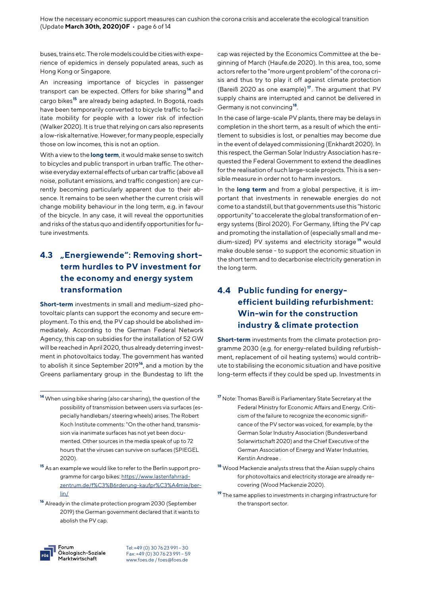buses, trains etc. The role models could be cities with experience of epidemics in densely populated areas, such as Hong Kong or Singapore.

An increasing importance of bicycles in passenger transport can be expected. Offers for bike sharing**[14](#page-5-0)** and cargo bikes**[15](#page-5-1)** are already being adapted. In Bogotá, roads have been temporarily converted to bicycle traffic to facilitate mobility for people with a lower risk of infection (Walker 2020). It is true that relying on cars also represents a low-risk alternative. However, for many people, especially those on low incomes, this is not an option.

With a view to the **long term**, it would make sense to switch to bicycles and public transport in urban traffic. The otherwise everyday external effects of urban car traffic (above all noise, pollutant emissions, and traffic congestion) are currently becoming particularly apparent due to their absence. It remains to be seen whether the current crisis will change mobility behaviour in the long term, e.g. in favour of the bicycle. In any case, it will reveal the opportunities and risks of the status quo and identify opportunities for future investments.

# **4.3 "Energiewende": Removing shortterm hurdles to PV investment for the economy and energy system transformation**

**Short-term** investments in small and medium-sized photovoltaic plants can support the economy and secure employment. To this end, the PV cap should be abolished immediately. According to the German Federal Network Agency, this cap on subsidies for the installation of 52 GW will be reached in April 2020, thus already deterring investment in photovoltaics today. The government has wanted to abolish it since September 2019**[16](#page-5-2)**, and a motion by the Greens parliamentary group in the Bundestag to lift the

cap was rejected by the Economics Committee at the beginning of March (Haufe.de 2020). In this area, too, some actors refer to the "more urgent problem" of the corona crisis and thus try to play it off against climate protection (Bareiß 2020 as one example) **[17](#page-5-0)** . The argument that PV supply chains are interrupted and cannot be delivered in Germany is not convincing**[18](#page-5-1)**.

In the case of large-scale PV plants, there may be delays in completion in the short term, as a result of which the entitlement to subsidies is lost, or penalties may become due in the event of delayed commissioning (Enkhardt 2020). In this respect, the German Solar Industry Association has requested the Federal Government to extend the deadlines for the realisation of such large-scale projects. This is a sensible measure in order not to harm investors.

In the **long term** and from a global perspective, it is important that investments in renewable energies do not come to a standstill, but that governments use this "historic opportunity" to accelerate the global transformation of energy systems (Birol 2020). For Germany, lifting the PV cap and promoting the installation of (especially small and medium-sized) PV systems and electricity storage **[19](#page-5-3)** would make double sense - to support the economic situation in the short term and to decarbonise electricity generation in the long term.

### **4.4 Public funding for energyefficient building refurbishment: Win-win for the construction industry & climate protection**

**Short-term** investments from the climate protection programme 2030 (e.g. for energy-related building refurbishment, replacement of oil heating systems) would contribute to stabilising the economic situation and have positive long-term effects if they could be sped up. Investments in



 $\overline{a}$ 

<span id="page-5-0"></span>**<sup>14</sup>** When using bike sharing (also car sharing), the question of the possibility of transmission between users via surfaces (especially handlebars/ steering wheels) arises. The Robert Koch Institute comments: "On the other hand, transmission via inanimate surfaces has not yet been documented. Other sources in the media speak of up to 72 hours that the viruses can survive on surfaces (SPIEGEL 2020).

<span id="page-5-1"></span>**<sup>15</sup>** As an example we would like to refer to the Berlin support pro-gramme for cargo bikes[: https://www.lastenfahrrad](https://www.lastenfahrrad-zentrum.de/f%C3%B6rderung-kaufpr%C3%A4mie/berlin/)[zentrum.de/f%C3%B6rderung-kaufpr%C3%A4mie/ber](https://www.lastenfahrrad-zentrum.de/f%C3%B6rderung-kaufpr%C3%A4mie/berlin/)[lin/](https://www.lastenfahrrad-zentrum.de/f%C3%B6rderung-kaufpr%C3%A4mie/berlin/)

<span id="page-5-3"></span><span id="page-5-2"></span>**<sup>16</sup>** Already in the climate protection program 2030 (September 2019) the German government declared that it wants to abolish the PV cap.

**<sup>17</sup>** Note: Thomas Bareiß is Parliamentary State Secretary at the Federal Ministry for Economic Affairs and Energy. Criticism of the failure to recognize the economic significance of the PV sector was voiced, for example, by the German Solar Industry Association (Bundesverband Solarwirtschaft 2020) and the Chief Executive of the German Association of Energy and Water Industries, Kerstin Andreae .

**<sup>18</sup>** Wood Mackenzie analysts stress that the Asian supply chains for photovoltaics and electricity storage are already recovering (Wood Mackenzie 2020).

**<sup>19</sup>** The same applies to investments in charging infrastructure for the transport sector.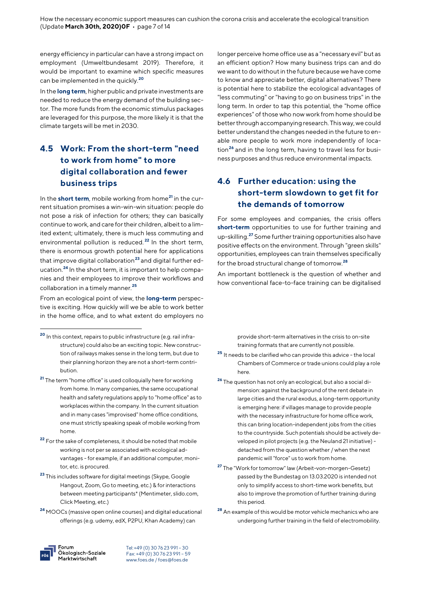energy efficiency in particular can have a strong impact on employment (Umweltbundesamt 2019). Therefore, it would be important to examine which specific measures can be implemented in the quickly. **[20](#page-6-0)**

In the **long term**, higher public and private investments are needed to reduce the energy demand of the building sector. The more funds from the economic stimulus packages are leveraged for this purpose, the more likely it is that the climate targets will be met in 2030.

### **4.5 Work: From the short-term "need to work from home" to more digital collaboration and fewer business trips**

In the **short term**, mobile working from home**[21](#page-6-1)** in the current situation promises a win-win-win situation: people do not pose a risk of infection for others; they can basically continue to work, and care for their children, albeit to a limited extent; ultimately, there is much less commuting and environmental pollution is reduced. **[22](#page-6-2)** In the short term, there is enormous growth potential here for applications that improve digital collaboration**[23](#page-6-3)** and digital further education.**[24](#page-6-4)** In the short term, it is important to help companies and their employees to improve their workflows and collaboration in a timely manner.**[25](#page-6-5)**

From an ecological point of view, the **long-term** perspective is exciting. How quickly will we be able to work better in the home office, and to what extent do employers no

<span id="page-6-4"></span>**<sup>24</sup>** MOOCs (massive open online courses) and digital educational offerings (e.g. udemy, edX, P2PU, Khan Academy) can

Forum Ökologisch-Soziale Marktwirtschaft

j

Tel: +49 (0) 30 76 23 991 – 30 Fax: +49 (0) 30 76 23 991 – 59 [www.foes.de /](http://www.foes.de/) [foes@foes.de](mailto:foes@foes.de)

longer perceive home office use as a "necessary evil" but as an efficient option? How many business trips can and do we want to do without in the future because we have come to know and appreciate better, digital alternatives? There is potential here to stabilize the ecological advantages of "less commuting" or "having to go on business trips" in the long term. In order to tap this potential, the "home office experiences" of those who now work from home should be better through accompanying research. This way, we could better understand the changes needed in the future to enable more people to work more independently of location**[26](#page-6-6)** and in the long term, having to travel less for business purposes and thus reduce environmental impacts.

### **4.6 Further education: using the short-term slowdown to get fit for the demands of tomorrow**

For some employees and companies, the crisis offers **short-term** opportunities to use for further training and up-skilling. **[27](#page-6-7)** Some further training opportunities also have positive effects on the environment. Through "green skills" opportunities, employees can train themselves specifically for the broad structural change of tomorrow.**[28](#page-6-4)**

An important bottleneck is the question of whether and how conventional face-to-face training can be digitalised

> provide short-term alternatives in the crisis to on-site training formats that are currently not possible.

- **<sup>25</sup>** It needs to be clarified who can provide this advice the local Chambers of Commerce or trade unions could play a role here.
- **<sup>26</sup>** The question has not only an ecological, but also a social dimension: against the background of the rent debate in large cities and the rural exodus, a long-term opportunity is emerging here: if villages manage to provide people with the necessary infrastructure for home office work, this can bring location-independent jobs from the cities to the countryside. Such potentials should be actively developed in pilot projects (e.g. the Neuland 21 initiative) detached from the question whether / when the next pandemic will "force" us to work from home.
- **<sup>27</sup>** The "Work for tomorrow" law (Arbeit-von-morgen-Gesetz) passed by the Bundestag on 13.03.2020 is intended not only to simplify access to short-time work benefits, but also to improve the promotion of further training during this period.
- **<sup>28</sup>** An example of this would be motor vehicle mechanics who are undergoing further training in the field of electromobility.

<span id="page-6-5"></span><span id="page-6-0"></span>**<sup>20</sup>** In this context, repairs to public infrastructure (e.g. rail infrastructure) could also be an exciting topic. New construction of railways makes sense in the long term, but due to their planning horizon they are not a short-term contribution.

<span id="page-6-6"></span><span id="page-6-1"></span>**<sup>21</sup>** The term "home office" is used colloquially here for working from home. In many companies, the same occupational health and safety regulations apply to "home office" as to workplaces within the company. In the current situation and in many cases "improvised" home office conditions, one must strictly speaking speak of mobile working from home.

<span id="page-6-2"></span>**<sup>22</sup>** For the sake of completeness, it should be noted that mobile working is not per se associated with ecological advantages - for example, if an additional computer, monitor, etc. is procured.

<span id="page-6-7"></span><span id="page-6-3"></span>**<sup>23</sup>** This includes software for digital meetings (Skype, Google Hangout, Zoom, Go to meeting, etc.) & for interactions between meeting participants\* (Mentimeter, slido.com, Click Meeting, etc.)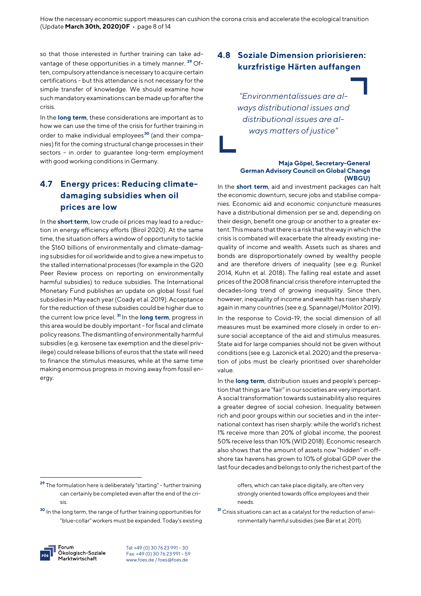so that those interested in further training can take advantage of these opportunities in a timely manner. **[29](#page-7-0)** Often, compulsory attendance is necessary to acquire certain certifications - but this attendance is not necessary for the simple transfer of knowledge. We should examine how such mandatory examinations can be made up for after the crisis.

In the **long term**, these considerations are important as to how we can use the time of the crisis for further training in order to make individual employees**[30](#page-7-1)** (and their companies) fit forthe coming structural change processes in their sectors - in order to guarantee long-term employment with good working conditions in Germany.

# **4.7 Energy prices: Reducing climatedamaging subsidies when oil prices are low**

In the **short term**, low crude oil prices may lead to a reduction in energy efficiency efforts (Birol 2020). At the same time, the situation offers a window of opportunity to tackle the \$160 billions of environmentally and climate-damaging subsidies for oil worldwide and to give a new impetus to the stalled international processes (for example in the G20 Peer Review process on reporting on environmentally harmful subsidies) to reduce subsidies. The International Monetary Fund publishes an update on global fossil fuel subsidies in May each year(Coady et al. 2019). Acceptance for the reduction of these subsidies could be higher due to the current low price level. **[31](#page-7-1)** In the **long term**, progress in this area would be doubly important - for fiscal and climate policy reasons. The dismantling of environmentally harmful subsidies (e.g. kerosene tax exemption and the diesel privilege) could release billions of euros that the state will need to finance the stimulus measures, while at the same time making enormous progress in moving away from fossil energy.

Forum Ökologisch-Soziale Marktwirtschaft

j

Tel: +49 (0) 30 76 23 991 – 30 Fax: +49 (0) 30 76 23 991 – 59 [www.foes.de /](http://www.foes.de/) [foes@foes.de](mailto:foes@foes.de)

# **4.8 Soziale Dimension priorisieren: kurzfristige Härten auffangen**

*"Environmentalissues are always distributional issues and distributional issues are always matters of justice"*

#### **Maja Göpel, Secretary-General German Advisory Council on Global Change (WBGU)**

In the **short term**, aid and investment packages can halt the economic downturn, secure jobs and stabilise companies. Economic aid and economic conjuncture measures have a distributional dimension per se and, depending on their design, benefit one group or another to a greater extent. This means that there is a risk that the way in which the crisis is combated will exacerbate the already existing inequality of income and wealth. Assets such as shares and bonds are disproportionately owned by wealthy people and are therefore drivers of inequality (see e.g. Runkel 2014, Kuhn et al. 2018). The falling real estate and asset prices of the 2008 financial crisis therefore interrupted the decades-long trend of growing inequality. Since then, however, inequality of income and wealth has risen sharply again in many countries (see e.g. Spannagel/Molitor 2019).

In the response to Covid-19, the social dimension of all measures must be examined more closely in order to ensure social acceptance of the aid and stimulus measures. State aid for large companies should not be given without conditions (see e.g. Lazonick et al. 2020) and the preservation of jobs must be clearly prioritised over shareholder value.

In the **long term**, distribution issues and people's perception that things are "fair" in our societies are very important. A social transformation towards sustainability also requires a greater degree of social cohesion. Inequality between rich and poor groups within our societies and in the international context has risen sharply: while the world's richest 1% receive more than 20% of global income, the poorest 50% receive less than 10% (WID 2018). Economic research also shows that the amount of assets now "hidden" in offshore tax havens has grown to 10% of global GDP over the last four decades and belongs to only the richest part of the

> offers, which can take place digitally, are often very strongly oriented towards office employees and their needs.

**<sup>31</sup>** Crisis situations can act as a catalyst for the reduction of environmentally harmful subsidies (see Bär et al. 2011).

<span id="page-7-0"></span>**<sup>29</sup>** The formulation here is deliberately "starting" - further training can certainly be completed even after the end of the crisis.

<span id="page-7-1"></span>**<sup>30</sup>** In the long term, the range of further training opportunities for "blue-collar" workers must be expanded. Today's existing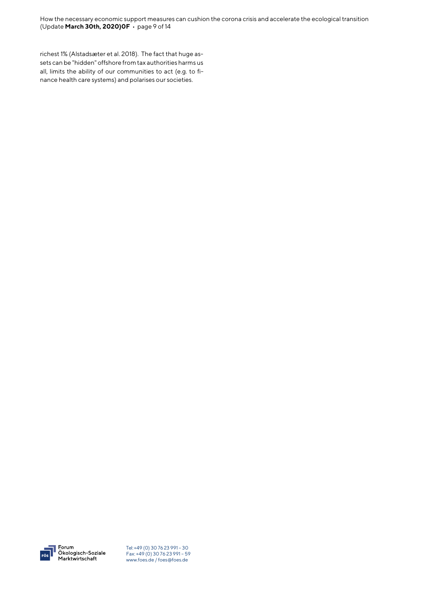richest 1% (Alstadsæter et al. 2018). The fact that huge assets can be "hidden" offshore from tax authorities harms us all, limits the ability of our communities to act (e.g. to finance health care systems) and polarises our societies.

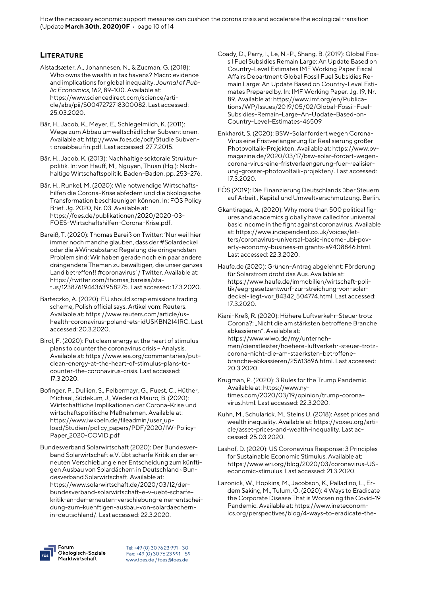How the necessary economic support measures can cushion the corona crisis and accelerate the ecological transition (Update **March 30th, 2020)0F** • page 10 of 14

#### **LITERATURE**

- Alstadsæter, A., Johannesen, N., & Zucman, G. (2018): Who owns the wealth in tax havens? Macro evidence and implications for global inequality. *Journal of Public Economics*, 162, 89-100. Available at: https://www.sciencedirect.com/science/article/abs/pii/S0047272718300082. Last accessed: 25.03.2020.
- Bär, H., Jacob, K., Meyer, E., Schlegelmilch, K. (2011): Wege zum Abbau umweltschädlicher Subventionen. Available at: http://www.foes.de/pdf/Studie Subventionsabbau fin.pdf. Last accessed: 27.7.2015.
- Bär, H., Jacob, K. (2013): Nachhaltige sektorale Strukturpolitik. In: von Hauff, M., Nguyen, Thuan (Hg.): Nachhaltige Wirtschaftspolitik. Baden-Baden. pp. 253–276.
- Bär, H., Runkel, M. (2020): Wie notwendige Wirtschaftshilfen die Corona-Krise abfedern und die ökologische Transformation beschleunigen können. In: FÖS Policy Brief. Jg. 2020, Nr. 03. Available at: https://foes.de/publikationen/2020/2020-03- FOES-Wirtschaftshilfen-Corona-Krise.pdf.
- Bareiß, T. (2020): Thomas Bareiß on Twitter: 'Nur weil hier immer noch manche glauben, dass der #Solardeckel oder die #Windabstand Regelung die dringendsten Problem sind: Wir haben gerade noch ein paar andere drängendere Themen zu bewältigen, die unser ganzes Land betreffen!! #coronavirus' / Twitter. Available at: https://twitter.com/thomas\_bareiss/status/1238761944363958275. Last accessed: 17.3.2020.
- Barteczko, A. (2020): EU should scrap emissions trading scheme, Polish official says. Artikel vom: Reuters. Available at: https://www.reuters.com/article/ushealth-coronavirus-poland-ets-idUSKBN2141RC. Last accessed: 20.3.2020.
- Birol, F. (2020): Put clean energy at the heart of stimulus plans to counter the coronavirus crisis – Analysis. Available at: https://www.iea.org/commentaries/putclean-energy-at-the-heart-of-stimulus-plans-tocounter-the-coronavirus-crisis. Last accessed: 17.3.2020.
- Bofinger, P., Dullien, S., Felbermayr, G., Fuest, C., Hüther, Michael, Südekum, J., Weder di Mauro, B. (2020): Wirtschaftliche Implikationen der Corona-Krise und wirtschaftspolitische Maßnahmen. Available at: https://www.iwkoeln.de/fileadmin/user\_upload/Studien/policy\_papers/PDF/2020/IW-Policy-Paper\_2020-COVID.pdf
- Bundesverband Solarwirtschaft (2020): Der Bundesverband Solarwirtschaft e.V. übt scharfe Kritik an der erneuten Verschiebung einer Entscheidung zum künftigen Ausbau von Solardächern in Deutschland › Bundesverband Solarwirtschaft. Available at: https://www.solarwirtschaft.de/2020/03/12/derbundesverband-solarwirtschaft-e-v-uebt-scharfekritik-an-der-erneuten-verschiebung-einer-entscheidung-zum-kuenftigen-ausbau-von-solardaechernin-deutschland/. Last accessed: 22.3.2020.
- Coady, D., Parry, I., Le, N.-P., Shang, B. (2019): Global Fossil Fuel Subsidies Remain Large: An Update Based on Country-Level Estimates IMF Working Paper Fiscal Affairs Department Global Fossil Fuel Subsidies Remain Large: An Update Based on Country-Level Estimates Prepared by. In: IMF Working Paper. Jg. 19, Nr. 89. Available at: https://www.imf.org/en/Publications/WP/Issues/2019/05/02/Global-Fossil-Fuel-Subsidies-Remain-Large-An-Update-Based-on-Country-Level-Estimates-46509
- Enkhardt, S. (2020): BSW-Solar fordert wegen Corona-Virus eine Fristverlängerung für Realisierung großer Photovoltaik-Projekten. Available at: https://www.pvmagazine.de/2020/03/17/bsw-solar-fordert-wegencorona-virus-eine-fristverlaengerung-fuer-realisierung-grosser-photovoltaik-projekten/. Last accessed: 17.3.2020.
- FÖS (2019): Die Finanzierung Deutschlands über Steuern auf Arbeit , Kapital und Umweltverschmutzung. Berlin.
- Gkantiragas, A. (2020): Why more than 500 political figures and academics globally have called for universal basic income in the fight against coronavirus. Available at: https://www.independent.co.uk/voices/letters/coronavirus-universal-basic-income-ubi-poverty-economy-business-migrants-a9408846.html. Last accessed: 22.3.2020.
- Haufe.de (2020): Grünen-Antrag abgelehnt: Förderung für Solarstrom droht das Aus. Available at: https://www.haufe.de/immobilien/wirtschaft-politik/eeg-gesetzentwurf-zur-streichung-von-solardeckel-liegt-vor\_84342\_504774.html. Last accessed: 17.3.2020.
- Kiani-Kreß, R. (2020): Höhere Luftverkehr-Steuer trotz Corona?: "Nicht die am stärksten betroffene Branche abkassieren". Available at: https://www.wiwo.de/my/unternehmen/dienstleister/hoehere-luftverkehr-steuer-trotzcorona-nicht-die-am-staerksten-betroffenebranche-abkassieren/25613896.html. Last accessed: 20.3.2020.
- Krugman, P. (2020): 3 Rules for the Trump Pandemic. Available at: https://www.nytimes.com/2020/03/19/opinion/trump-coronavirus.html. Last accessed: 22.3.2020.
- Kuhn, M., Schularick, M., Steins U. (2018): Asset prices and wealth inequality. Available at: https://voxeu.org/article/asset-prices-and-wealth-inequality. Last accessed: 25.03.2020.
- Lashof, D. (2020): US Coronavirus Response: 3 Principles for Sustainable Economic Stimulus. Available at: https://www.wri.org/blog/2020/03/coronavirus-USeconomic-stimulus. Last accessed: 21.3.2020.
- [Lazonick,](https://www.ineteconomics.org/research/experts/wlazonick) W., [Hopkins,](https://www.ineteconomics.org/research/experts/mhopkins) M[.,](https://www.ineteconomics.org/research/experts/kjacobson) [Jacobson,](https://www.ineteconomics.org/research/experts/kjacobson) [K., Palladino,](https://www.ineteconomics.org/research/experts/lPalladino) [L., Er](https://www.ineteconomics.org/research/experts/mustafaerdemsakinc)[dem Sakinç,](https://www.ineteconomics.org/research/experts/mustafaerdemsakinc) M.[, Tulum,](https://www.ineteconomics.org/research/experts/Tulum) Ö. (2020): 4 Ways to Eradicate the Corporate Disease That is Worsening the Covid-19 Pandemic. Available at: https://www.ineteconomics.org/perspectives/blog/4-ways-to-eradicate-the-

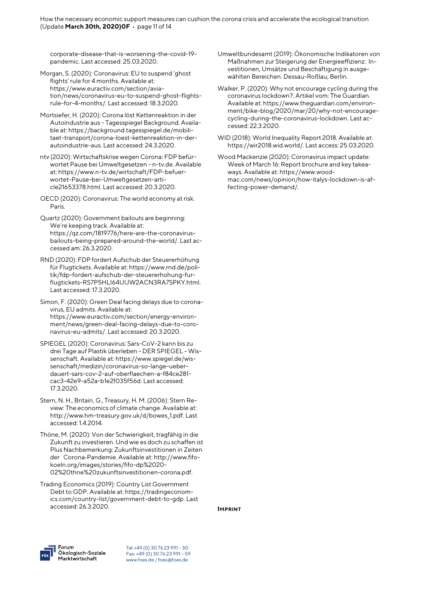corporate-disease-that-is-worsening-the-covid-19 pandemic. Last accessed: 25.03.2020.

- Morgan, S. (2020): Coronavirus: EU to suspend 'ghost flights' rule for 4 months. Available at: https://www.euractiv.com/section/aviation/news/coronavirus-eu-to-suspend-ghost-flightsrule-for-4-months/. Last accessed: 18.3.2020.
- Mortsiefer, H. (2020): Corona löst Kettenreaktion in der Autoindustrie aus - Tagesspiegel Background. Available at: https://background.tagesspiegel.de/mobilitaet-transport/corona-loest-kettenreaktion-in-derautoindustrie-aus. Last accessed: 24.3.2020.
- ntv (2020): Wirtschaftskrise wegen Corona: FDP befürwortet Pause bei Umweltgesetzen - n-tv.de. Available at: https://www.n-tv.de/wirtschaft/FDP-befuerwortet-Pause-bei-Umweltgesetzen-article21653378.html. Last accessed: 20.3.2020.
- OECD (2020): Coronavirus: The world economy at risk. Paris.
- Quartz (2020): Government bailouts are beginning: We're keeping track. Available at: https://qz.com/1819776/here-are-the-coronavirusbailouts-being-prepared-around-the-world/. Last accessed am: 26.3.2020.
- RND (2020): FDP fordert Aufschub der Steuererhöhung für Flugtickets. Available at: https://www.rnd.de/politik/fdp-fordert-aufschub-der-steuererhohung-furflugtickets-RS7P5HLI64UIJW2ACN3RA7SPKY.html. Last accessed: 17.3.2020.
- Simon, F. (2020): Green Deal facing delays due to coronavirus, EU admits. Available at: https://www.euractiv.com/section/energy-environment/news/green-deal-facing-delays-due-to-coronavirus-eu-admits/. Last accessed: 20.3.2020.
- SPIEGEL (2020): Coronavirus: Sars-CoV-2 kann bis zu drei Tage auf Plastik überleben - DER SPIEGEL - Wissenschaft. Available at: https://www.spiegel.de/wissenschaft/medizin/coronavirus-so-lange-ueberdauert-sars-cov-2-auf-oberflaechen-a-f84ce281 cac3-42e9-a52a-b1e2f035f56d. Last accessed: 17.3.2020.
- Stern, N. H., Britain, G., Treasury, H. M. (2006): Stern Review: The economics of climate change. Available at: http://www.hm-treasury.gov.uk/d/bowes\_1.pdf. Last accessed: 1.4.2014.

Thöne, M. (2020): Von der Schwierigkeit, tragfähig in die Zukunft zu investieren. Und wie es doch zu schaffen ist Plus Nachbemerkung: Zukunftsinvestitionen in Zeiten der Corona‐Pandemie. Available at: http://www.fifokoeln.org/images/stories/fifo-dp%2020- 02%20thne%20zukunftsinvestitionen-corona.pdf.

Trading Economics (2019): Country List Government Debt to GDP. Available at: https://tradingeconomics.com/country-list/government-debt-to-gdp. Last accessed: 26.3.2020.

- Umweltbundesamt (2019): Ökonomische Indikatoren von Maßnahmen zur Steigerung der Energieeffizienz: Investitionen, Umsätze und Beschäftigung in ausgewählten Bereichen. Dessau-Roßlau; Berlin.
- Walker, P. (2020): Why not encourage cycling during the coronavirus lockdown?. Artikel vom: The Guardian. Available at: https://www.theguardian.com/environment/bike-blog/2020/mar/20/why-not-encouragecycling-during-the-coronavirus-lockdown. Last accessed: 22.3.2020.
- WID (2018): World Inequality Report 2018. Available at: https://wir2018.wid.world/. Last access: 25.03.2020.
- Wood Mackenzie (2020): Coronavirus impact update: Week of March 16: Report brochure and key takeaways. Available at: https://www.woodmac.com/news/opinion/how-italys-lockdown-is-affecting-power-demand/.

**IMPRINT** 

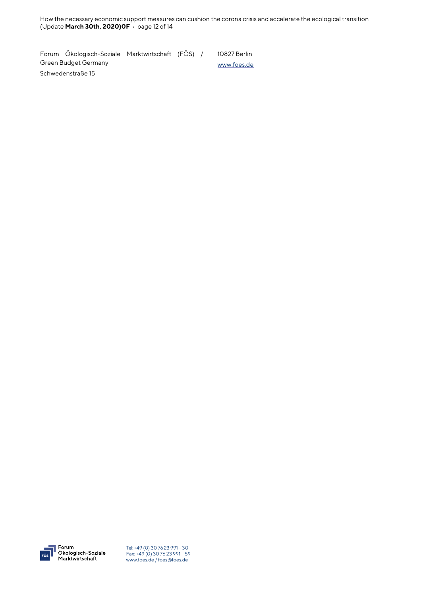How the necessary economic support measures can cushion the corona crisis and accelerate the ecological transition (Update **March 30th, 2020)0F** • page 12 of 14

Forum Ökologisch-Soziale Marktwirtschaft (FÖS) / Green Budget Germany 10827 Berlin [www.foes.de](http://www.foes.de/)

Schwedenstraße 15

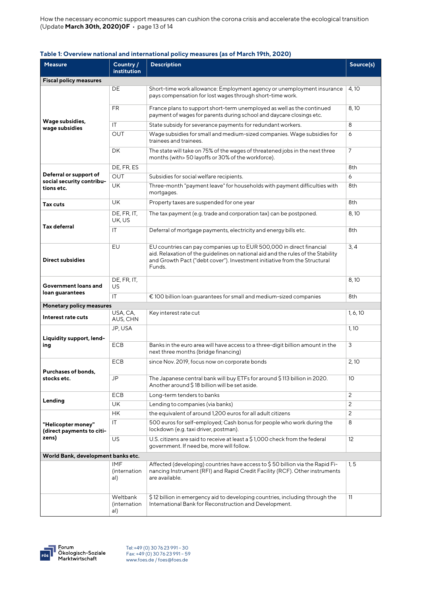How the necessary economic support measures can cushion the corona crisis and accelerate the ecological transition (Update **March 30th, 2020)0F** • page 13 of 14

#### **Table 1: Overview national and international policy measures (as of March 19th, 2020)**

| <b>Measure</b>                                                    | Country /<br>institution          | <b>Description</b>                                                                                                                                                                                                                              | Source(s)       |  |
|-------------------------------------------------------------------|-----------------------------------|-------------------------------------------------------------------------------------------------------------------------------------------------------------------------------------------------------------------------------------------------|-----------------|--|
| <b>Fiscal policy measures</b>                                     |                                   |                                                                                                                                                                                                                                                 |                 |  |
| Wage subsidies,<br>wage subsidies                                 | DE                                | Short-time work allowance: Employment agency or unemployment insurance<br>pays compensation for lost wages through short-time work.                                                                                                             | 4, 10           |  |
|                                                                   | FR.                               | France plans to support short-term unemployed as well as the continued<br>payment of wages for parents during school and daycare closings etc.                                                                                                  | 8,10            |  |
|                                                                   | ΙT                                | State subsidy for severance payments for redundant workers.                                                                                                                                                                                     | 8               |  |
|                                                                   | <b>OUT</b>                        | Wage subsidies for small and medium-sized companies. Wage subsidies for<br>trainees and trainees.                                                                                                                                               | 6               |  |
|                                                                   | <b>DK</b>                         | The state will take on 75% of the wages of threatened jobs in the next three<br>months (with> 50 layoffs or 30% of the workforce).                                                                                                              | 7               |  |
| Deferral or support of<br>social security contribu-<br>tions etc. | DE, FR, ES                        |                                                                                                                                                                                                                                                 | 8th             |  |
|                                                                   | <b>OUT</b>                        | Subsidies for social welfare recipients.                                                                                                                                                                                                        | 6               |  |
|                                                                   | <b>UK</b>                         | Three-month "payment leave" for households with payment difficulties with<br>mortgages.                                                                                                                                                         | 8th             |  |
| Tax cuts                                                          | UK                                | Property taxes are suspended for one year                                                                                                                                                                                                       | 8th             |  |
| <b>Tax deferral</b>                                               | DE, FR, IT,<br>UK, US             | The tax payment (e.g. trade and corporation tax) can be postponed.                                                                                                                                                                              | 8,10            |  |
|                                                                   | IT                                | Deferral of mortgage payments, electricity and energy bills etc.                                                                                                                                                                                | 8th             |  |
| <b>Direct subsidies</b>                                           | EU                                | EU countries can pay companies up to EUR 500,000 in direct financial<br>aid. Relaxation of the guidelines on national aid and the rules of the Stability<br>and Growth Pact ("debt cover"). Investment initiative from the Structural<br>Funds. | 3, 4            |  |
| Government loans and<br>loan guarantees                           | DE, FR, IT,<br>US.                |                                                                                                                                                                                                                                                 | 8,10            |  |
|                                                                   | IT.                               | € 100 billion loan guarantees for small and medium-sized companies                                                                                                                                                                              | 8th             |  |
| <b>Monetary policy measures</b>                                   |                                   |                                                                                                                                                                                                                                                 |                 |  |
| Interest rate cuts                                                | USA, CA,<br>AUS, CHN              | Key interest rate cut                                                                                                                                                                                                                           | 1, 6, 10        |  |
| Liquidity support, lend-<br>ing                                   | JP, USA                           |                                                                                                                                                                                                                                                 | 1,10            |  |
|                                                                   | <b>ECB</b>                        | Banks in the euro area will have access to a three-digit billion amount in the<br>next three months (bridge financing)                                                                                                                          | 3               |  |
| <b>Purchases of bonds,</b><br>stocks etc.                         | <b>ECB</b>                        | since Nov. 2019, focus now on corporate bonds                                                                                                                                                                                                   | 2,10            |  |
|                                                                   | JP                                | The Japanese central bank will buy ETFs for around \$113 billion in 2020.<br>Another around \$18 billion will be set aside.                                                                                                                     | 10              |  |
| Lending                                                           | ECB                               | Long-term tenders to banks                                                                                                                                                                                                                      | 2               |  |
|                                                                   | <b>UK</b>                         | Lending to companies (via banks)                                                                                                                                                                                                                | $\mathbf{2}$    |  |
| "Helicopter money"<br>(direct payments to citi-<br>zens)          | HK                                | the equivalent of around 1,200 euros for all adult citizens                                                                                                                                                                                     | $\overline{c}$  |  |
|                                                                   | IT                                | 500 euros for self-employed; Cash bonus for people who work during the<br>lockdown (e.g. taxi driver, postman).                                                                                                                                 | 8               |  |
|                                                                   | US                                | U.S. citizens are said to receive at least a \$1,000 check from the federal<br>government. If need be, more will follow.                                                                                                                        | 12 <sup>2</sup> |  |
| World Bank, development banks etc.                                |                                   |                                                                                                                                                                                                                                                 |                 |  |
|                                                                   | <b>IMF</b><br>(internation<br>al) | Affected (developing) countries have access to \$50 billion via the Rapid Fi-<br>nancing Instrument (RFI) and Rapid Credit Facility (RCF). Other instruments<br>are available.                                                                  | 1, 5            |  |
|                                                                   | Weltbank<br>(internation<br>al)   | \$12 billion in emergency aid to developing countries, including through the<br>International Bank for Reconstruction and Development.                                                                                                          | 11              |  |



Forum<br>Ökologisch-Soziale<br>Marktwirtschaft